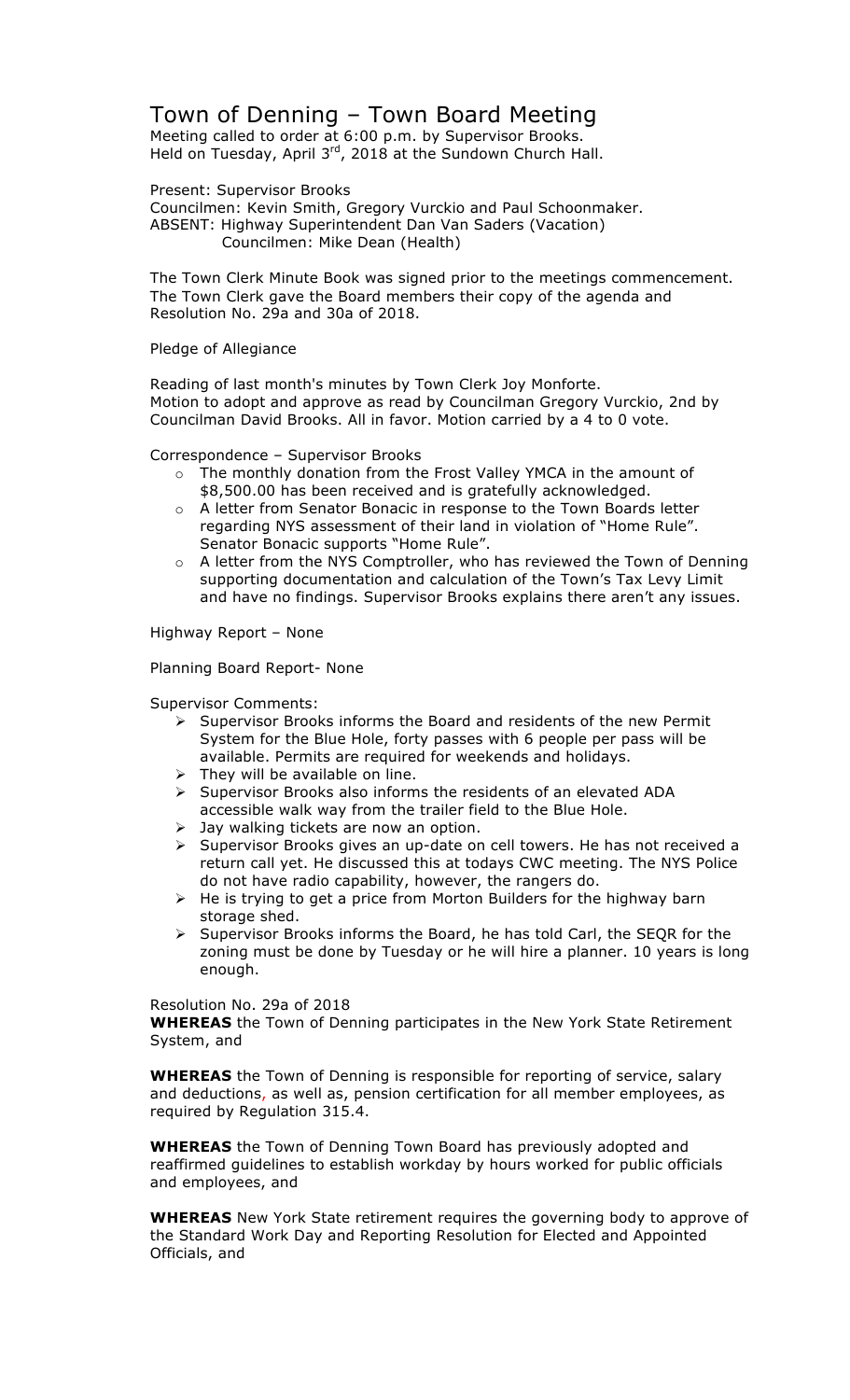## Town of Denning – Town Board Meeting

Meeting called to order at 6:00 p.m. by Supervisor Brooks. Held on Tuesday, April  $3^{rd}$ , 2018 at the Sundown Church Hall.

Present: Supervisor Brooks Councilmen: Kevin Smith, Gregory Vurckio and Paul Schoonmaker. ABSENT: Highway Superintendent Dan Van Saders (Vacation) Councilmen: Mike Dean (Health)

The Town Clerk Minute Book was signed prior to the meetings commencement. The Town Clerk gave the Board members their copy of the agenda and Resolution No. 29a and 30a of 2018.

Pledge of Allegiance

Reading of last month's minutes by Town Clerk Joy Monforte. Motion to adopt and approve as read by Councilman Gregory Vurckio, 2nd by Councilman David Brooks. All in favor. Motion carried by a 4 to 0 vote.

Correspondence – Supervisor Brooks

- o The monthly donation from the Frost Valley YMCA in the amount of \$8,500.00 has been received and is gratefully acknowledged.
- o A letter from Senator Bonacic in response to the Town Boards letter regarding NYS assessment of their land in violation of "Home Rule". Senator Bonacic supports "Home Rule".
- o A letter from the NYS Comptroller, who has reviewed the Town of Denning supporting documentation and calculation of the Town's Tax Levy Limit and have no findings. Supervisor Brooks explains there aren't any issues.

Highway Report – None

Planning Board Report- None

Supervisor Comments:

- $\triangleright$  Supervisor Brooks informs the Board and residents of the new Permit System for the Blue Hole, forty passes with 6 people per pass will be available. Permits are required for weekends and holidays.
- $\triangleright$  They will be available on line.
- > Supervisor Brooks also informs the residents of an elevated ADA accessible walk way from the trailer field to the Blue Hole.
- $\triangleright$  Jay walking tickets are now an option.
- > Supervisor Brooks gives an up-date on cell towers. He has not received a return call yet. He discussed this at todays CWC meeting. The NYS Police do not have radio capability, however, the rangers do.
- $\triangleright$  He is trying to get a price from Morton Builders for the highway barn storage shed.
- $\triangleright$  Supervisor Brooks informs the Board, he has told Carl, the SEQR for the zoning must be done by Tuesday or he will hire a planner. 10 years is long enough.

## Resolution No. 29a of 2018

**WHEREAS** the Town of Denning participates in the New York State Retirement System, and

**WHEREAS** the Town of Denning is responsible for reporting of service, salary and deductions, as well as, pension certification for all member employees, as required by Regulation 315.4.

**WHEREAS** the Town of Denning Town Board has previously adopted and reaffirmed guidelines to establish workday by hours worked for public officials and employees, and

**WHEREAS** New York State retirement requires the governing body to approve of the Standard Work Day and Reporting Resolution for Elected and Appointed Officials, and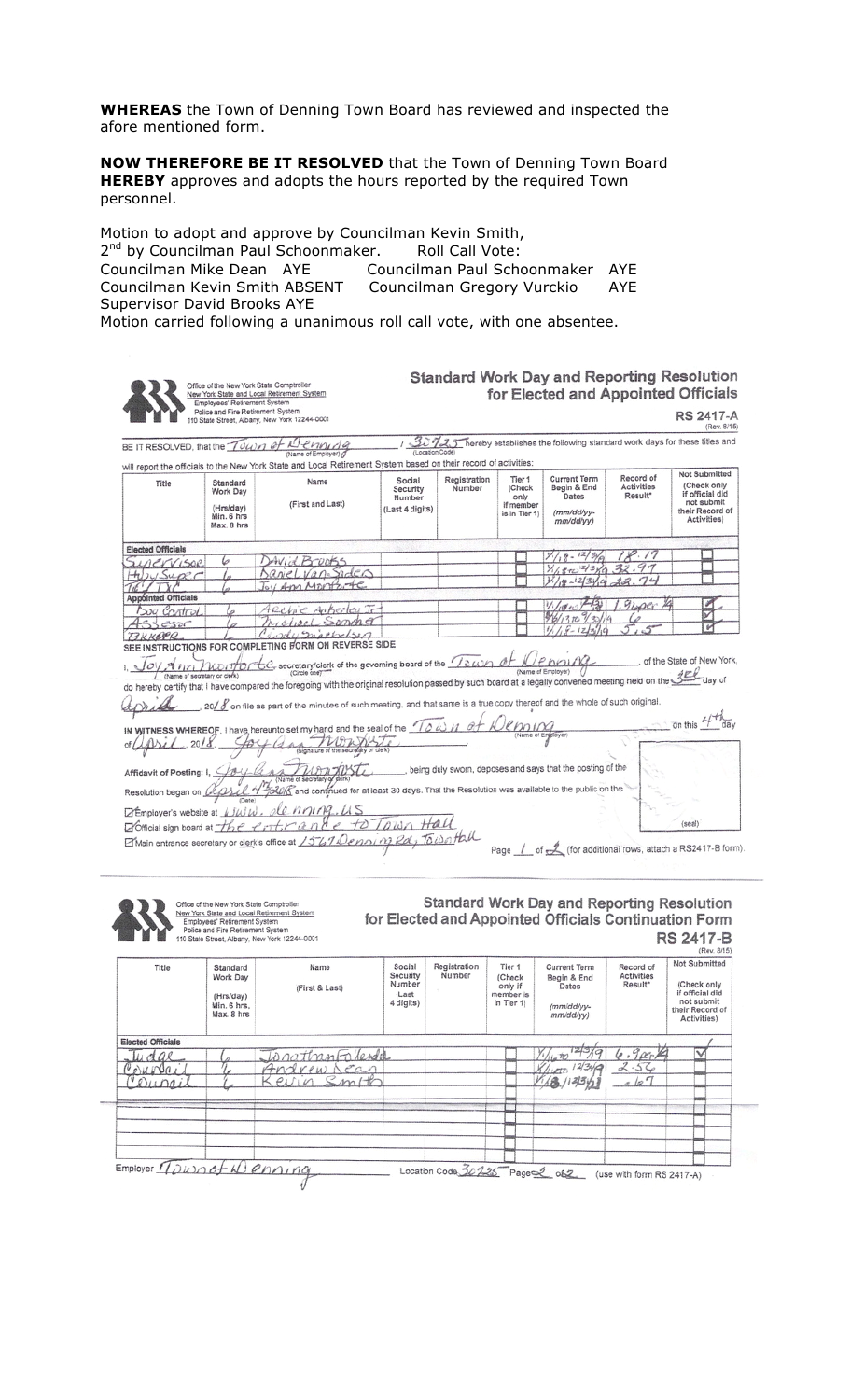**WHEREAS** the Town of Denning Town Board has reviewed and inspected the afore mentioned form.

**NOW THEREFORE BE IT RESOLVED** that the Town of Denning Town Board **HEREBY** approves and adopts the hours reported by the required Town personnel.

Motion to adopt and approve by Councilman Kevin Smith, 2<sup>nd</sup> by Councilman Paul Schoonmaker. Roll Call Vote:<br>Councilman Mike Dean AYE Councilman Paul Scho Councilman Paul Schoonmaker AYE Councilman Kevin Smith ABSENT Councilman Gregory Vurckio AYE Supervisor David Brooks AYE

Motion carried following a unanimous roll call vote, with one absentee.

Office of the New York State Com Omber of the New York State and Local Retrement System<br>
New York State and Local Retrement System<br>
Finalysies: Retirement System<br>
Police and Fire Retirement System<br>
110 State Street, Albany, New York 12244-0001 **Standard Work Day and Reporting Resolution** for Elected and Appointed Officials **RS 2417-A** 

1 30725 hereby establishes the following standard work days for these titles and BE IT RESOLVED, that the Town of Demonds will report the officials to the New York State and Local Retirement System based on their record of activities:

| . war with the control of the control of the control<br>Title | Standard<br>Work Day<br>(Hrs/day)<br>Min. 6 hrs<br>Max, 8 hrs | Name<br>(First and Last)                             | Social<br>Security<br>Number<br>(Last 4 digits) | Registration<br>Number | Tier 1<br>(Check<br>only<br>if member<br>is in Tier 1) | <b>Current Term</b><br>Begin & End<br>Dates<br>(mm/dd/yy-<br>mm/dd/yy) | Record of<br>Activities<br>Result* | Not Submitted<br>(Check only<br>if official did<br>not submit<br>their Record of<br>Activities) |  |
|---------------------------------------------------------------|---------------------------------------------------------------|------------------------------------------------------|-------------------------------------------------|------------------------|--------------------------------------------------------|------------------------------------------------------------------------|------------------------------------|-------------------------------------------------------------------------------------------------|--|
| <b>Elected Officials</b>                                      |                                                               |                                                      |                                                 |                        |                                                        |                                                                        |                                    |                                                                                                 |  |
| <b>ZLOCKVISOR</b>                                             |                                                               | Wid Brunks                                           |                                                 |                        |                                                        | $\omega$ .                                                             |                                    |                                                                                                 |  |
| HUUSURC                                                       |                                                               | Sarvel Van Saders                                    |                                                 |                        |                                                        | 1,800-21340 32.97                                                      |                                    |                                                                                                 |  |
|                                                               |                                                               | Joy Am Montage                                       |                                                 |                        |                                                        | $\frac{1}{4}$ $\frac{12}{3}$ $\frac{1}{9}$ $\frac{12}{3}$              |                                    |                                                                                                 |  |
| <b>Appointed Officials</b>                                    |                                                               |                                                      |                                                 |                        |                                                        |                                                                        |                                    |                                                                                                 |  |
| Sug Control                                                   |                                                               | Archie Ankerteu Ir                                   |                                                 |                        |                                                        |                                                                        | 1.960c                             |                                                                                                 |  |
| 4556505                                                       |                                                               | Metion Sommer                                        |                                                 |                        |                                                        | $96/1310$ $13/19$                                                      |                                    |                                                                                                 |  |
| BKKOPR                                                        |                                                               | Hody mochelson                                       |                                                 |                        |                                                        | $1/18 - 12/3/19$                                                       |                                    |                                                                                                 |  |
|                                                               |                                                               | SEE INSTRUCTIONS FOR COMPLETING FORM ON REVERSE SIDE |                                                 |                        |                                                        |                                                                        |                                    |                                                                                                 |  |

1.  $\frac{J_0}{\sqrt{GM}}$  and  $\frac{J_0}{\sqrt{GM}}$  and  $\frac{J_0}{\sqrt{GM}}$  secretary/clerk of the governing board of the  $\frac{J_0}{\sqrt{GM}}$  of  $\frac{J_0}{\sqrt{M}}$  and  $\frac{J_0}{\sqrt{M}}$ ... of the State of New York, do hereby certify that i have compared the foregoing with the original resolution passed by such board at a legally convened meeting held on the SEP day of

20/  $\ell$  on file as part of the minutes of such meeting, and that same is a true copy thereof and the whole of such original april

on this 4<sup>4%</sup> day IN WITNESS WHEREOF, I have hereunto set my hand and the seal of the  $\pi\omega$   $\alpha + \sqrt{2\rho\omega\pi\sigma}$ of april 2018.  $\rho \leftrightarrow \rho$  (and the subset of the subset of the subset of the subset of the subset of the subset of the subset of the subset of the subset of the subset of the subset of the subset of the subset of the subset Affidavit of Posting: 1, Joy and Monthew Party being duly sworn, deposes and says that the posting of the Resolution began on *CCDS* (Name of Secretary of them, the contract of the Resolution was available to the public on the Démployer's website at *Liwiw. de norma.us*<br>Diotticial sign board at *the entrante to Town Hall*  $(send)$ Elisain entrance secretary or clerk's office at 15670 enning Ra, Town tall Page / of <u>of</u> (for additional rows, attach a RS2417-B form).



New York State and Local Retirement System<br>Employees' Retirement System<br>Police and Fire Retirement System<br>110 State Street, Albarry, New York 12244-0001

Standard Work Day and Reporting Resolution for Elected and Appointed Officials Continuation Form RS 2417-B

| Title                    | Standard<br>Work Day<br>(Hrs/day)<br>Min, 6 hrs.<br>Max, 8 hrs | Name<br>(First & Last) | Social<br>Security<br>Number<br>(Last<br>4 digits) | Registration<br>Number | Tier 1<br>(Check<br>only if<br>member is<br>in Tier 1) | <b>Current Term</b><br>Begin & End<br>Dates<br>(mm/dd/yy-<br>mm/dd/yy) | Record of<br>Activities<br>Result <sup>*</sup> |  | Not Submitted<br>(Check only<br>if official did<br>not submit<br>their Record of<br>Activities) |  |
|--------------------------|----------------------------------------------------------------|------------------------|----------------------------------------------------|------------------------|--------------------------------------------------------|------------------------------------------------------------------------|------------------------------------------------|--|-------------------------------------------------------------------------------------------------|--|
| <b>Elected Officials</b> |                                                                |                        |                                                    |                        |                                                        |                                                                        |                                                |  |                                                                                                 |  |
| Lidge                    |                                                                | TonathanFallender      |                                                    |                        |                                                        | しかつ                                                                    | $6.9x +$                                       |  | $\checkmark$                                                                                    |  |
| $00$ urgai               |                                                                | Andrew Lean            |                                                    |                        |                                                        | $K/\mu$ cto 12/3/19                                                    | 2.52                                           |  |                                                                                                 |  |
| eringi                   |                                                                | evin Smith             |                                                    |                        |                                                        | V(AB)/1236                                                             | $-67$                                          |  |                                                                                                 |  |
|                          |                                                                |                        |                                                    |                        |                                                        |                                                                        |                                                |  |                                                                                                 |  |
|                          |                                                                |                        |                                                    |                        |                                                        |                                                                        |                                                |  |                                                                                                 |  |
|                          |                                                                |                        |                                                    |                        |                                                        |                                                                        |                                                |  |                                                                                                 |  |
| Employer Town of Wenning |                                                                |                        |                                                    |                        |                                                        | Location Code 307-25 Page 2 of 2                                       |                                                |  |                                                                                                 |  |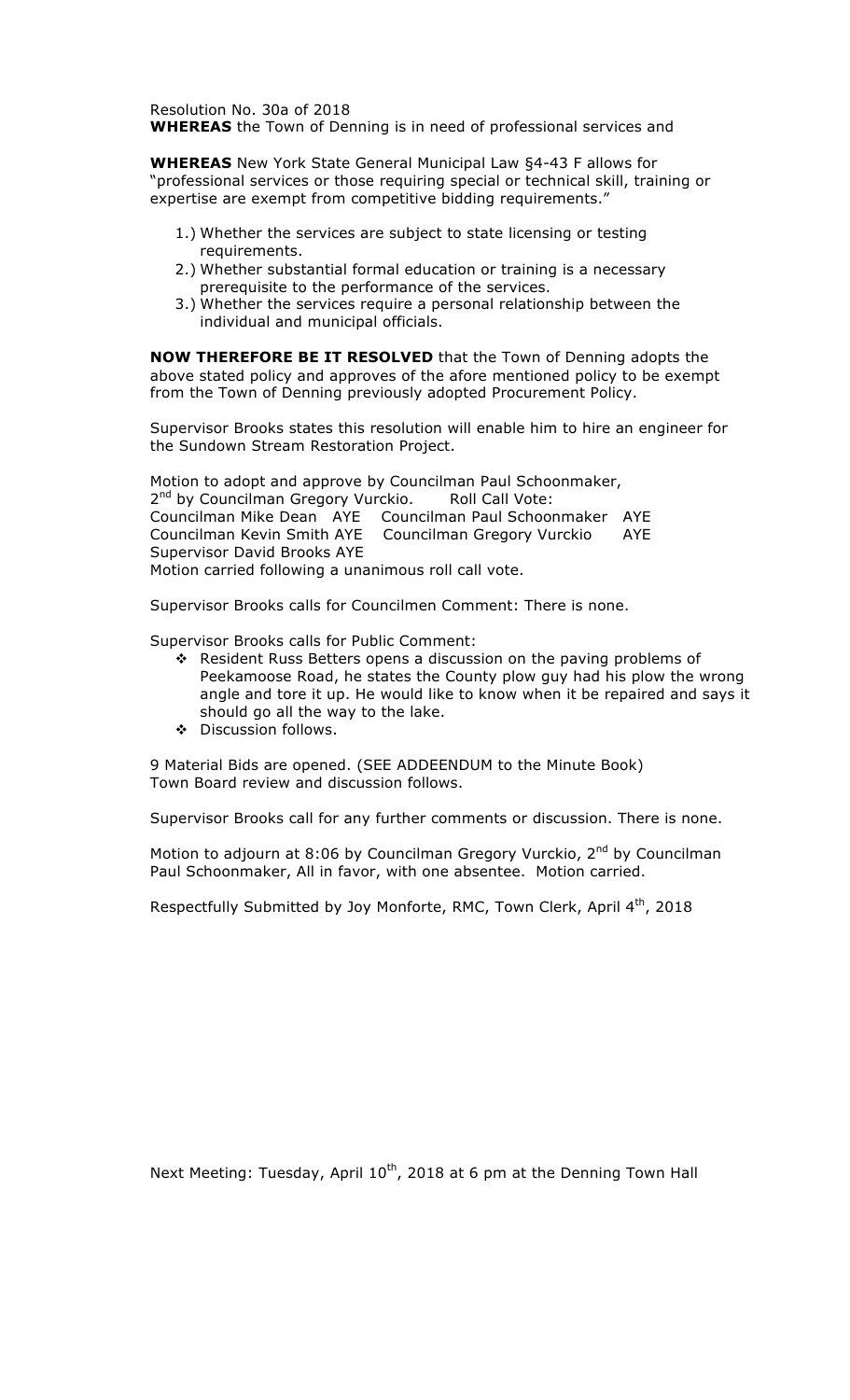Resolution No. 30a of 2018 **WHEREAS** the Town of Denning is in need of professional services and

**WHEREAS** New York State General Municipal Law §4-43 F allows for "professional services or those requiring special or technical skill, training or expertise are exempt from competitive bidding requirements."

- 1.) Whether the services are subject to state licensing or testing requirements.
- 2.) Whether substantial formal education or training is a necessary prerequisite to the performance of the services.
- 3.) Whether the services require a personal relationship between the individual and municipal officials.

**NOW THEREFORE BE IT RESOLVED** that the Town of Denning adopts the above stated policy and approves of the afore mentioned policy to be exempt from the Town of Denning previously adopted Procurement Policy.

Supervisor Brooks states this resolution will enable him to hire an engineer for the Sundown Stream Restoration Project.

Motion to adopt and approve by Councilman Paul Schoonmaker, 2<sup>nd</sup> by Councilman Gregory Vurckio. Roll Call Vote: Councilman Mike Dean AYE Councilman Paul Schoonmaker AYE Councilman Kevin Smith AYE Councilman Gregory Vurckio AYE Supervisor David Brooks AYE Motion carried following a unanimous roll call vote.

Supervisor Brooks calls for Councilmen Comment: There is none.

Supervisor Brooks calls for Public Comment:

- $\cdot$  Resident Russ Betters opens a discussion on the paving problems of Peekamoose Road, he states the County plow guy had his plow the wrong angle and tore it up. He would like to know when it be repaired and says it should go all the way to the lake.
- **\*** Discussion follows.

9 Material Bids are opened. (SEE ADDEENDUM to the Minute Book) Town Board review and discussion follows.

Supervisor Brooks call for any further comments or discussion. There is none.

Motion to adjourn at 8:06 by Councilman Gregory Vurckio,  $2^{nd}$  by Councilman Paul Schoonmaker, All in favor, with one absentee. Motion carried.

Respectfully Submitted by Joy Monforte, RMC, Town Clerk, April 4<sup>th</sup>, 2018

Next Meeting: Tuesday, April 10<sup>th</sup>, 2018 at 6 pm at the Denning Town Hall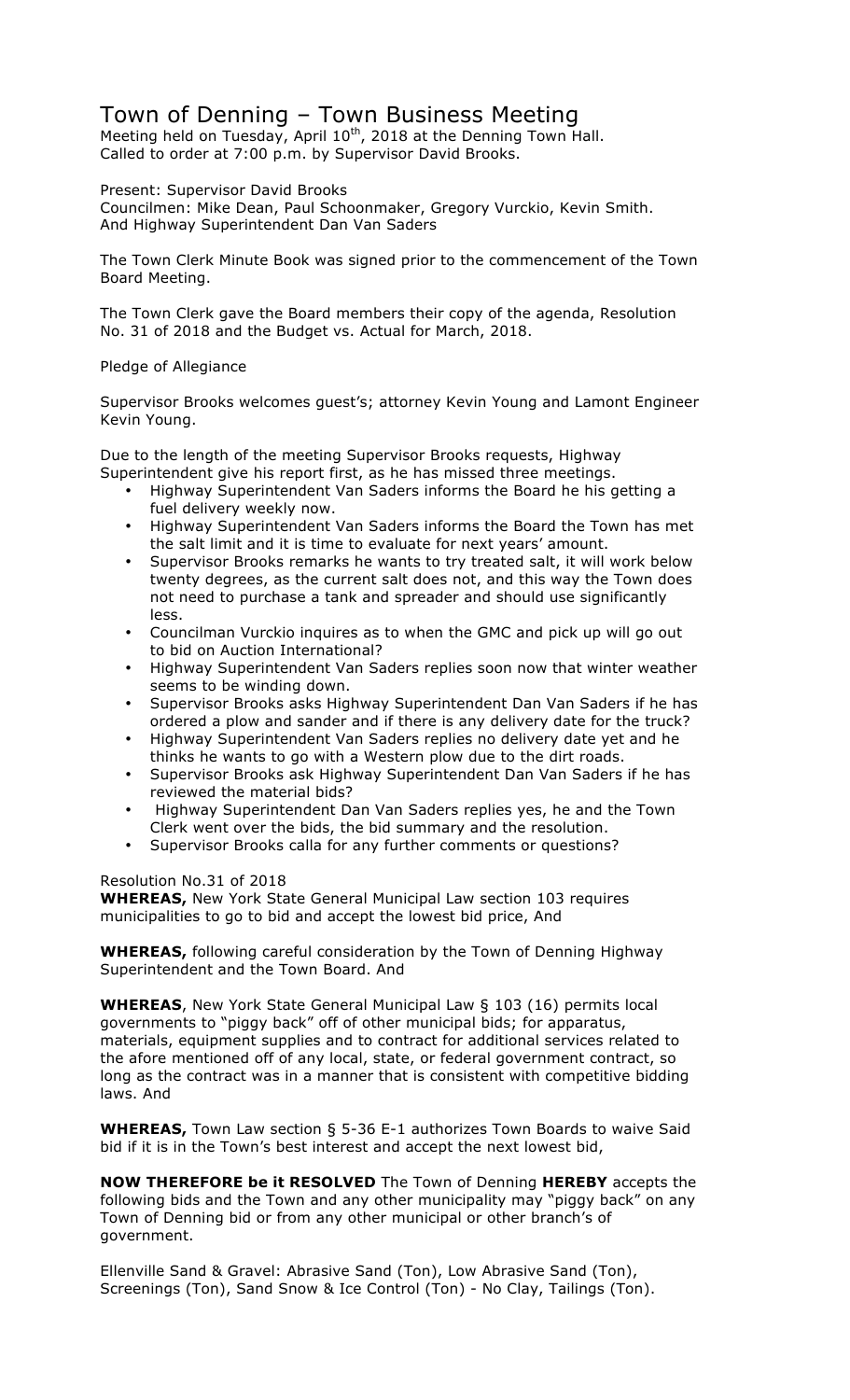## Town of Denning – Town Business Meeting

Meeting held on Tuesday, April 10<sup>th</sup>, 2018 at the Denning Town Hall. Called to order at 7:00 p.m. by Supervisor David Brooks.

Present: Supervisor David Brooks

Councilmen: Mike Dean, Paul Schoonmaker, Gregory Vurckio, Kevin Smith. And Highway Superintendent Dan Van Saders

The Town Clerk Minute Book was signed prior to the commencement of the Town Board Meeting.

The Town Clerk gave the Board members their copy of the agenda, Resolution No. 31 of 2018 and the Budget vs. Actual for March, 2018.

## Pledge of Allegiance

Supervisor Brooks welcomes guest's; attorney Kevin Young and Lamont Engineer Kevin Young.

Due to the length of the meeting Supervisor Brooks requests, Highway Superintendent give his report first, as he has missed three meetings.

- Highway Superintendent Van Saders informs the Board he his getting a fuel delivery weekly now.
- Highway Superintendent Van Saders informs the Board the Town has met the salt limit and it is time to evaluate for next years' amount.
- Supervisor Brooks remarks he wants to try treated salt, it will work below twenty degrees, as the current salt does not, and this way the Town does not need to purchase a tank and spreader and should use significantly less.
- Councilman Vurckio inquires as to when the GMC and pick up will go out to bid on Auction International?
- Highway Superintendent Van Saders replies soon now that winter weather seems to be winding down.
- Supervisor Brooks asks Highway Superintendent Dan Van Saders if he has ordered a plow and sander and if there is any delivery date for the truck?
- Highway Superintendent Van Saders replies no delivery date yet and he thinks he wants to go with a Western plow due to the dirt roads.
- Supervisor Brooks ask Highway Superintendent Dan Van Saders if he has reviewed the material bids?
- Highway Superintendent Dan Van Saders replies yes, he and the Town Clerk went over the bids, the bid summary and the resolution.
- Supervisor Brooks calla for any further comments or questions?

Resolution No.31 of 2018

**WHEREAS,** New York State General Municipal Law section 103 requires municipalities to go to bid and accept the lowest bid price, And

**WHEREAS,** following careful consideration by the Town of Denning Highway Superintendent and the Town Board. And

**WHEREAS**, New York State General Municipal Law § 103 (16) permits local governments to "piggy back" off of other municipal bids; for apparatus, materials, equipment supplies and to contract for additional services related to the afore mentioned off of any local, state, or federal government contract, so long as the contract was in a manner that is consistent with competitive bidding laws. And

**WHEREAS,** Town Law section § 5-36 E-1 authorizes Town Boards to waive Said bid if it is in the Town's best interest and accept the next lowest bid,

**NOW THEREFORE be it RESOLVED** The Town of Denning **HEREBY** accepts the following bids and the Town and any other municipality may "piggy back" on any Town of Denning bid or from any other municipal or other branch's of government.

Ellenville Sand & Gravel: Abrasive Sand (Ton), Low Abrasive Sand (Ton), Screenings (Ton), Sand Snow & Ice Control (Ton) - No Clay, Tailings (Ton).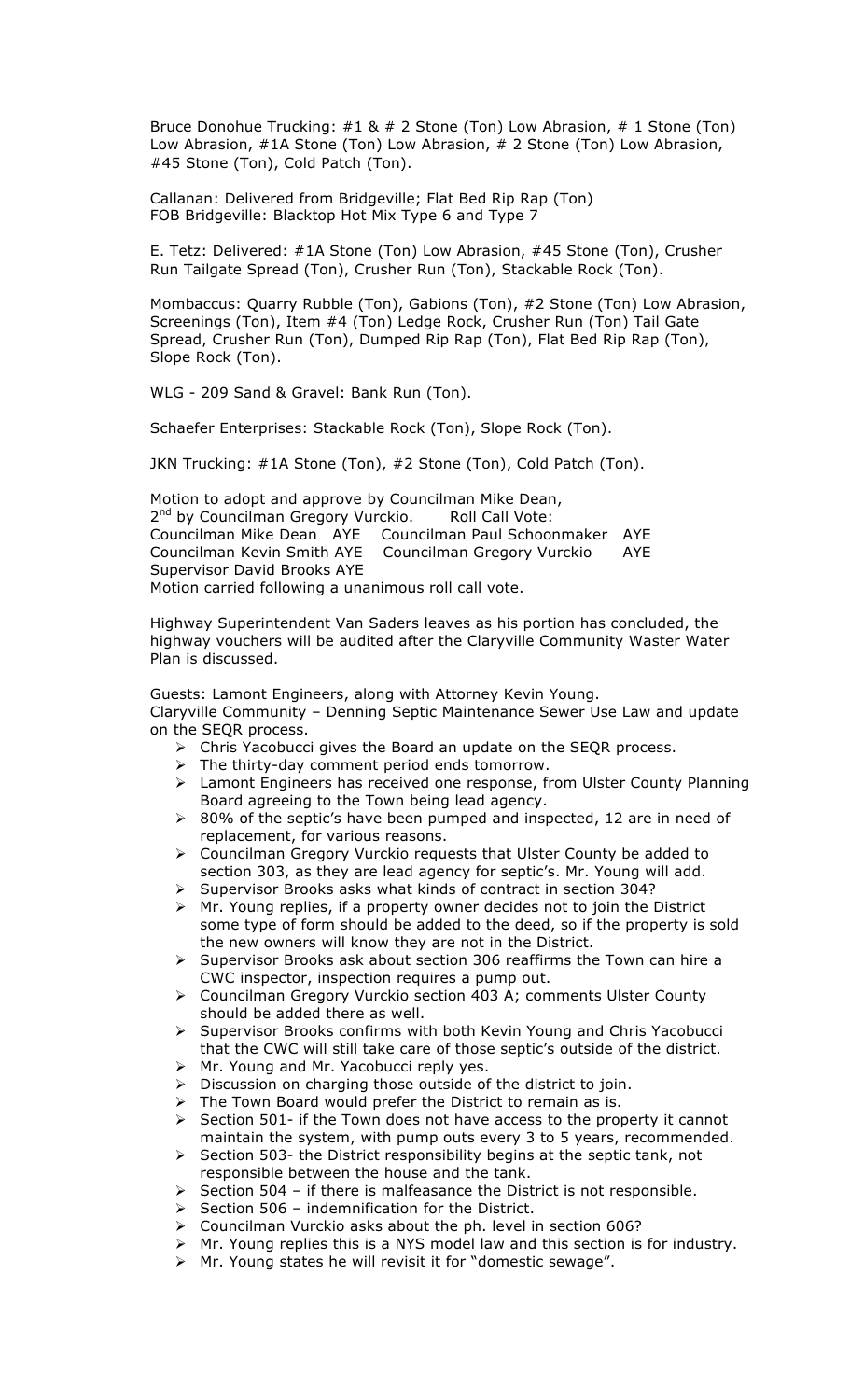Bruce Donohue Trucking: #1 & # 2 Stone (Ton) Low Abrasion, # 1 Stone (Ton) Low Abrasion, #1A Stone (Ton) Low Abrasion, # 2 Stone (Ton) Low Abrasion, #45 Stone (Ton), Cold Patch (Ton).

Callanan: Delivered from Bridgeville; Flat Bed Rip Rap (Ton) FOB Bridgeville: Blacktop Hot Mix Type 6 and Type 7

E. Tetz: Delivered: #1A Stone (Ton) Low Abrasion, #45 Stone (Ton), Crusher Run Tailgate Spread (Ton), Crusher Run (Ton), Stackable Rock (Ton).

Mombaccus: Quarry Rubble (Ton), Gabions (Ton), #2 Stone (Ton) Low Abrasion, Screenings (Ton), Item #4 (Ton) Ledge Rock, Crusher Run (Ton) Tail Gate Spread, Crusher Run (Ton), Dumped Rip Rap (Ton), Flat Bed Rip Rap (Ton), Slope Rock (Ton).

WLG - 209 Sand & Gravel: Bank Run (Ton).

Schaefer Enterprises: Stackable Rock (Ton), Slope Rock (Ton).

JKN Trucking: #1A Stone (Ton), #2 Stone (Ton), Cold Patch (Ton).

Motion to adopt and approve by Councilman Mike Dean, 2<sup>nd</sup> by Councilman Gregory Vurckio. Roll Call Vote: Councilman Mike Dean AYE Councilman Paul Schoonmaker AYE Councilman Kevin Smith AYE Councilman Gregory Vurckio AYE Supervisor David Brooks AYE Motion carried following a unanimous roll call vote.

Highway Superintendent Van Saders leaves as his portion has concluded, the highway vouchers will be audited after the Claryville Community Waster Water Plan is discussed.

Guests: Lamont Engineers, along with Attorney Kevin Young. Claryville Community – Denning Septic Maintenance Sewer Use Law and update on the SEQR process.

- > Chris Yacobucci gives the Board an update on the SEQR process.
- $\triangleright$  The thirty-day comment period ends tomorrow.
- ! Lamont Engineers has received one response, from Ulster County Planning Board agreeing to the Town being lead agency.
- $\geq$  80% of the septic's have been pumped and inspected, 12 are in need of replacement, for various reasons.
- $\triangleright$  Councilman Gregory Vurckio requests that Ulster County be added to section 303, as they are lead agency for septic's. Mr. Young will add.
- ! Supervisor Brooks asks what kinds of contract in section 304?
- $\triangleright$  Mr. Young replies, if a property owner decides not to join the District some type of form should be added to the deed, so if the property is sold the new owners will know they are not in the District.
- ! Supervisor Brooks ask about section 306 reaffirms the Town can hire a CWC inspector, inspection requires a pump out.
- > Councilman Gregory Vurckio section 403 A; comments Ulster County should be added there as well.
- $\triangleright$  Supervisor Brooks confirms with both Kevin Young and Chris Yacobucci that the CWC will still take care of those septic's outside of the district.
- $\triangleright$  Mr. Young and Mr. Yacobucci reply yes.
- $\triangleright$  Discussion on charging those outside of the district to join.
- The Town Board would prefer the District to remain as is.
- $\geq$  Section 501- if the Town does not have access to the property it cannot maintain the system, with pump outs every 3 to 5 years, recommended.
- $\triangleright$  Section 503- the District responsibility begins at the septic tank, not responsible between the house and the tank.
- $\triangleright$  Section 504 if there is malfeasance the District is not responsible.
- $\triangleright$  Section 506 indemnification for the District.
- $\triangleright$  Councilman Vurckio asks about the ph. level in section 606?
- $\triangleright$  Mr. Young replies this is a NYS model law and this section is for industry.
- $\triangleright$  Mr. Young states he will revisit it for "domestic sewage".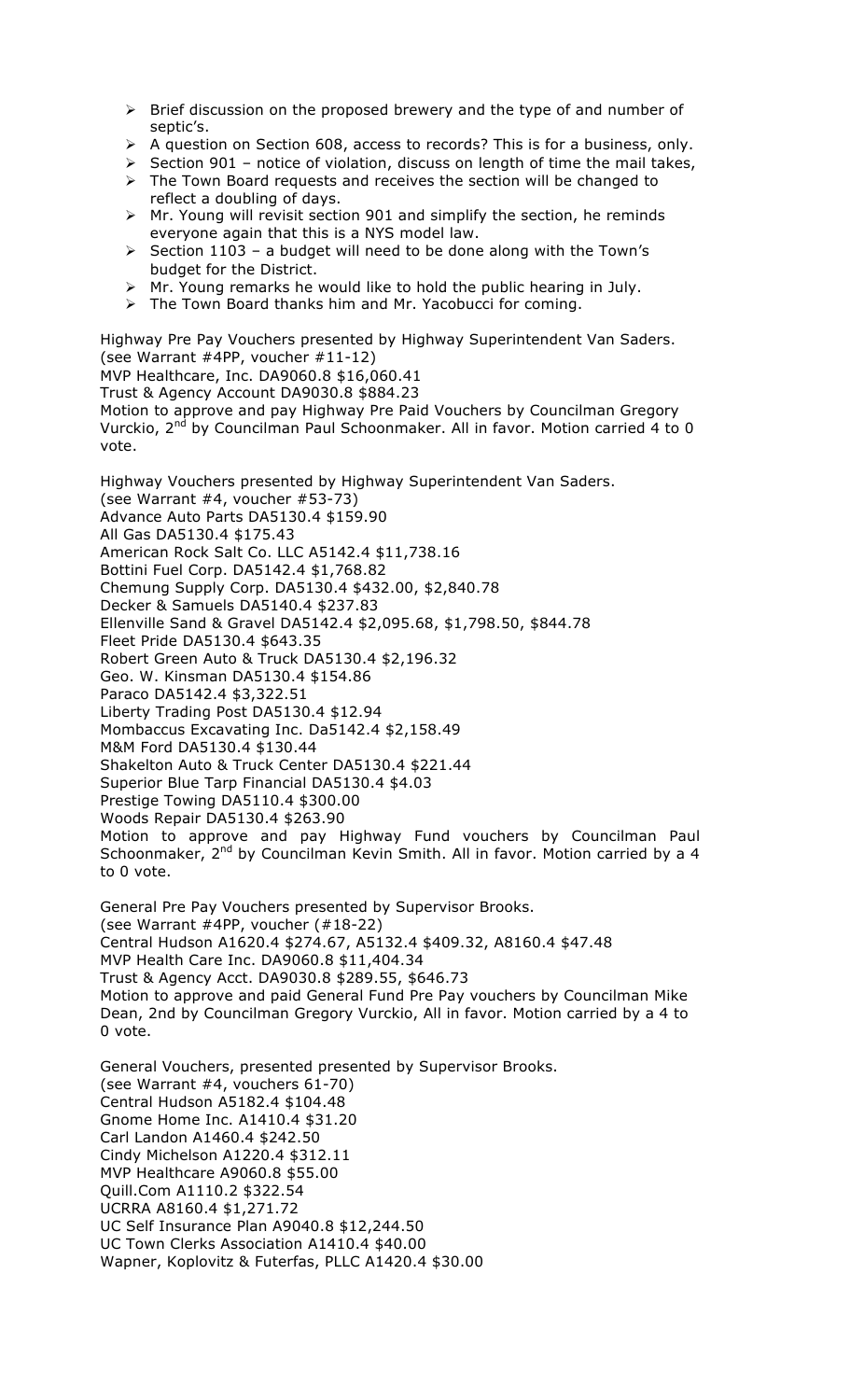- $\triangleright$  Brief discussion on the proposed brewery and the type of and number of septic's.
- $\triangleright$  A question on Section 608, access to records? This is for a business, only.
- $\triangleright$  Section 901 notice of violation, discuss on length of time the mail takes,
- $\triangleright$  The Town Board requests and receives the section will be changed to reflect a doubling of days.
- $\triangleright$  Mr. Young will revisit section 901 and simplify the section, he reminds everyone again that this is a NYS model law.
- ! Section 1103 a budget will need to be done along with the Town's budget for the District.
- $\triangleright$  Mr. Young remarks he would like to hold the public hearing in July.
- $\triangleright$  The Town Board thanks him and Mr. Yacobucci for coming.

Highway Pre Pay Vouchers presented by Highway Superintendent Van Saders. (see Warrant #4PP, voucher #11-12)

MVP Healthcare, Inc. DA9060.8 \$16,060.41

Trust & Agency Account DA9030.8 \$884.23

Motion to approve and pay Highway Pre Paid Vouchers by Councilman Gregory Vurckio, 2<sup>nd</sup> by Councilman Paul Schoonmaker. All in favor. Motion carried 4 to 0 vote.

Highway Vouchers presented by Highway Superintendent Van Saders. (see Warrant #4, voucher #53-73) Advance Auto Parts DA5130.4 \$159.90 All Gas DA5130.4 \$175.43 American Rock Salt Co. LLC A5142.4 \$11,738.16 Bottini Fuel Corp. DA5142.4 \$1,768.82 Chemung Supply Corp. DA5130.4 \$432.00, \$2,840.78 Decker & Samuels DA5140.4 \$237.83 Ellenville Sand & Gravel DA5142.4 \$2,095.68, \$1,798.50, \$844.78 Fleet Pride DA5130.4 \$643.35 Robert Green Auto & Truck DA5130.4 \$2,196.32 Geo. W. Kinsman DA5130.4 \$154.86 Paraco DA5142.4 \$3,322.51 Liberty Trading Post DA5130.4 \$12.94 Mombaccus Excavating Inc. Da5142.4 \$2,158.49 M&M Ford DA5130.4 \$130.44 Shakelton Auto & Truck Center DA5130.4 \$221.44 Superior Blue Tarp Financial DA5130.4 \$4.03 Prestige Towing DA5110.4 \$300.00 Woods Repair DA5130.4 \$263.90 Motion to approve and pay Highway Fund vouchers by Councilman Paul Schoonmaker, 2<sup>nd</sup> by Councilman Kevin Smith. All in favor. Motion carried by a 4 to 0 vote.

General Pre Pay Vouchers presented by Supervisor Brooks. (see Warrant #4PP, voucher (#18-22) Central Hudson A1620.4 \$274.67, A5132.4 \$409.32, A8160.4 \$47.48 MVP Health Care Inc. DA9060.8 \$11,404.34 Trust & Agency Acct. DA9030.8 \$289.55, \$646.73 Motion to approve and paid General Fund Pre Pay vouchers by Councilman Mike Dean, 2nd by Councilman Gregory Vurckio, All in favor. Motion carried by a 4 to 0 vote.

General Vouchers, presented presented by Supervisor Brooks. (see Warrant #4, vouchers 61-70) Central Hudson A5182.4 \$104.48 Gnome Home Inc. A1410.4 \$31.20 Carl Landon A1460.4 \$242.50 Cindy Michelson A1220.4 \$312.11 MVP Healthcare A9060.8 \$55.00 Quill.Com A1110.2 \$322.54 UCRRA A8160.4 \$1,271.72 UC Self Insurance Plan A9040.8 \$12,244.50 UC Town Clerks Association A1410.4 \$40.00 Wapner, Koplovitz & Futerfas, PLLC A1420.4 \$30.00